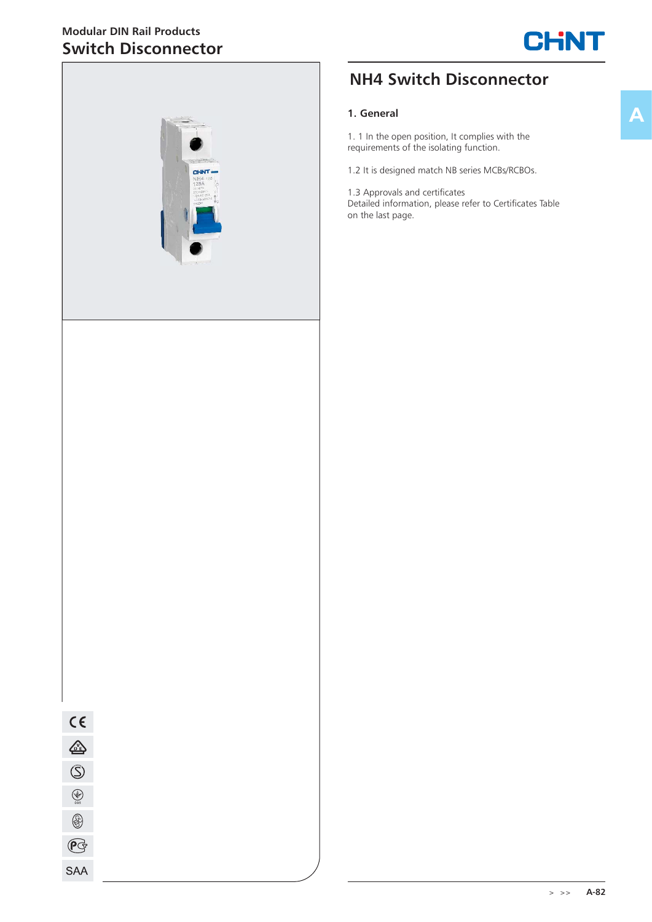## **Modular DIN Rail Products Switch Disconnector**





# **NH4 Switch Disconnector**

#### **1. General**

1. 1 In the open position, It complies with the requirements of the isolating function.

1.2 It is designed match NB series MCBs/RCBOs.

1.3 Approvals and certificates Detailed information, please refer to Certificates Table on the last page.